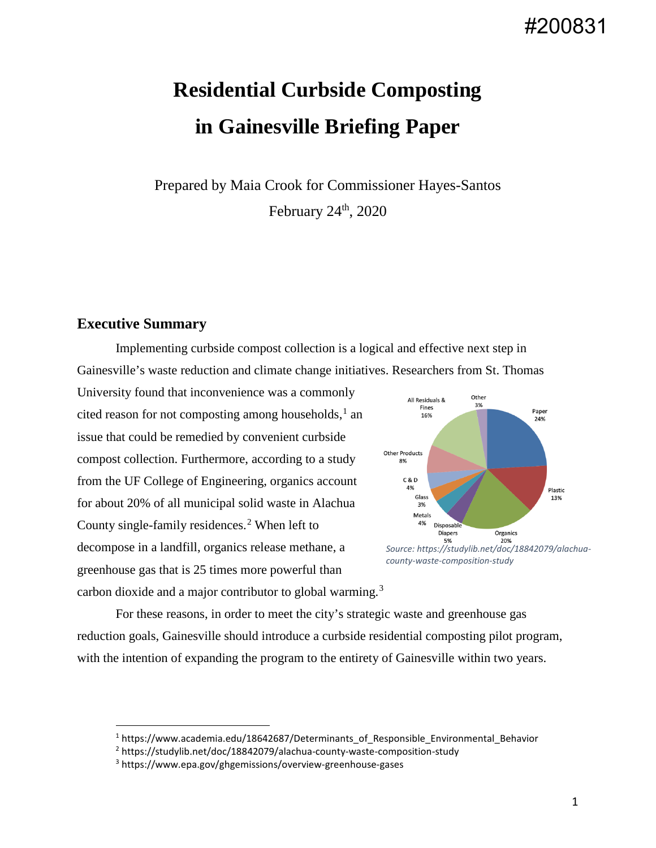## #200831

# **Residential Curbside Composting in Gainesville Briefing Paper**

Prepared by Maia Crook for Commissioner Hayes-Santos February  $24<sup>th</sup>$ , 2020

#### **Executive Summary**

Implementing curbside compost collection is a logical and effective next step in Gainesville's waste reduction and climate change initiatives. Researchers from St. Thomas

University found that inconvenience was a commonly cited reason for not composting among households, $<sup>1</sup>$  $<sup>1</sup>$  $<sup>1</sup>$  an</sup> issue that could be remedied by convenient curbside compost collection. Furthermore, according to a study from the UF College of Engineering, organics account for about 20% of all municipal solid waste in Alachua County single-family residences.<sup>[2](#page-0-1)</sup> When left to decompose in a landfill, organics release methane, a greenhouse gas that is 25 times more powerful than carbon dioxide and a major contributor to global warming.<sup>[3](#page-0-2)</sup>



*county-waste-composition-study*

For these reasons, in order to meet the city's strategic waste and greenhouse gas reduction goals, Gainesville should introduce a curbside residential composting pilot program, with the intention of expanding the program to the entirety of Gainesville within two years.

<span id="page-0-0"></span> $1$  https://www.academia.edu/18642687/Determinants\_of\_Responsible\_Environmental\_Behavior

<span id="page-0-1"></span><sup>2</sup> https://studylib.net/doc/18842079/alachua-county-waste-composition-study

<span id="page-0-2"></span><sup>3</sup> https://www.epa.gov/ghgemissions/overview-greenhouse-gases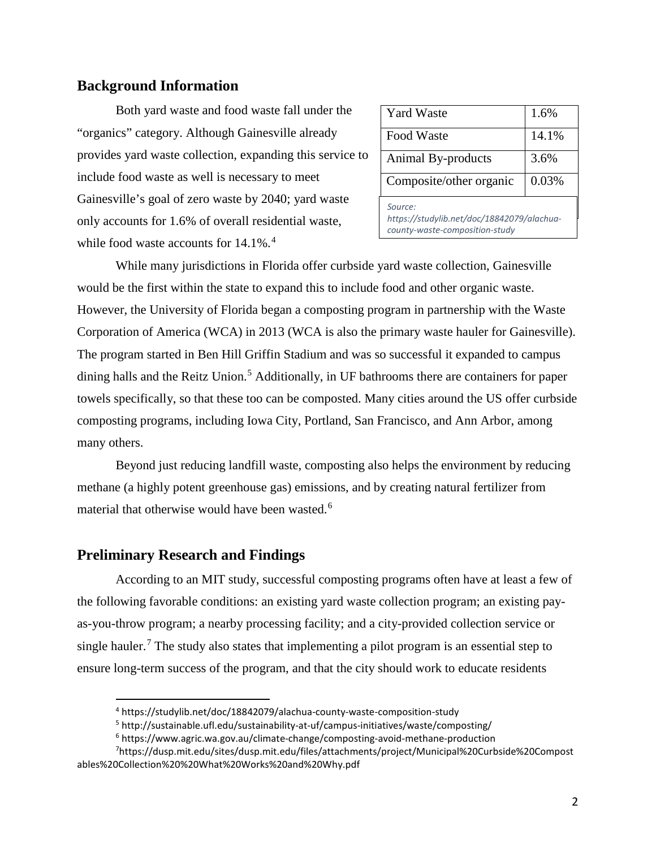#### **Background Information**

Both yard waste and food waste fall under the "organics" category. Although Gainesville already provides yard waste collection, expanding this service to include food waste as well is necessary to meet Gainesville's goal of zero waste by 2040; yard waste only accounts for 1.6% of overall residential waste, while food waste accounts for 1[4](#page-1-0).1%.<sup>4</sup>

| <b>Yard Waste</b>                                                                       | 1.6%  |
|-----------------------------------------------------------------------------------------|-------|
| Food Waste                                                                              | 14.1% |
| Animal By-products                                                                      | 3.6%  |
| Composite/other organic                                                                 | 0.03% |
| Source:<br>https://studylib.net/doc/18842079/alachua-<br>county-waste-composition-study |       |

While many jurisdictions in Florida offer curbside yard waste collection, Gainesville would be the first within the state to expand this to include food and other organic waste. However, the University of Florida began a composting program in partnership with the Waste Corporation of America (WCA) in 2013 (WCA is also the primary waste hauler for Gainesville). The program started in Ben Hill Griffin Stadium and was so successful it expanded to campus dining halls and the Reitz Union.<sup>[5](#page-1-1)</sup> Additionally, in UF bathrooms there are containers for paper towels specifically, so that these too can be composted. Many cities around the US offer curbside composting programs, including Iowa City, Portland, San Francisco, and Ann Arbor, among many others.

Beyond just reducing landfill waste, composting also helps the environment by reducing methane (a highly potent greenhouse gas) emissions, and by creating natural fertilizer from material that otherwise would have been wasted.<sup>[6](#page-1-2)</sup>

#### **Preliminary Research and Findings**

According to an MIT study, successful composting programs often have at least a few of the following favorable conditions: an existing yard waste collection program; an existing payas-you-throw program; a nearby processing facility; and a city-provided collection service or single hauler.<sup>[7](#page-1-3)</sup> The study also states that implementing a pilot program is an essential step to ensure long-term success of the program, and that the city should work to educate residents

 <sup>4</sup> https://studylib.net/doc/18842079/alachua-county-waste-composition-study

<sup>5</sup> http://sustainable.ufl.edu/sustainability-at-uf/campus-initiatives/waste/composting/

<sup>6</sup> https://www.agric.wa.gov.au/climate-change/composting-avoid-methane-production

<span id="page-1-3"></span><span id="page-1-2"></span><span id="page-1-1"></span><span id="page-1-0"></span><sup>7</sup> https://dusp.mit.edu/sites/dusp.mit.edu/files/attachments/project/Municipal%20Curbside%20Compost ables%20Collection%20%20What%20Works%20and%20Why.pdf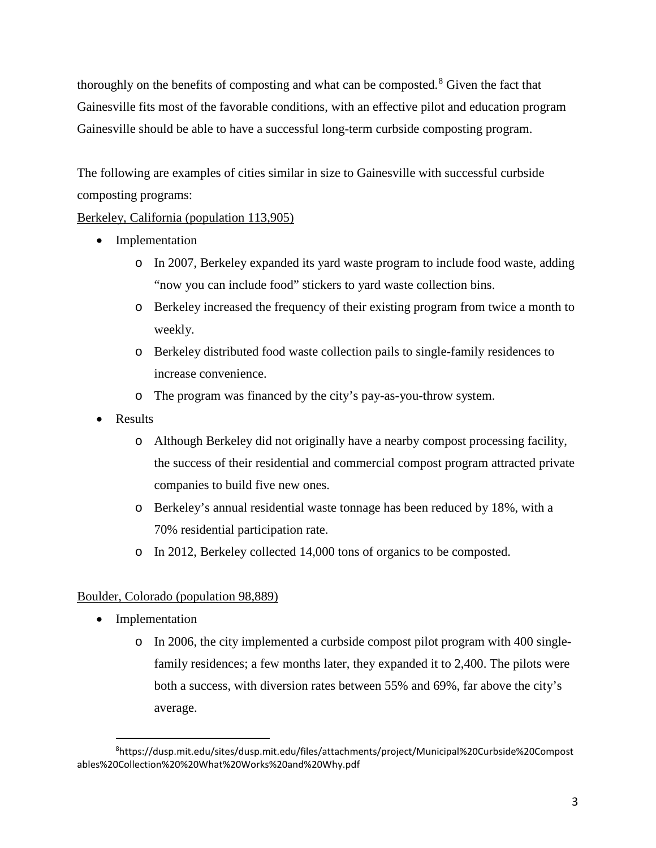thoroughly on the benefits of composting and what can be composted.<sup>[8](#page-2-0)</sup> Given the fact that Gainesville fits most of the favorable conditions, with an effective pilot and education program Gainesville should be able to have a successful long-term curbside composting program.

The following are examples of cities similar in size to Gainesville with successful curbside composting programs:

#### Berkeley, California (population 113,905)

- Implementation
	- o In 2007, Berkeley expanded its yard waste program to include food waste, adding "now you can include food" stickers to yard waste collection bins.
	- o Berkeley increased the frequency of their existing program from twice a month to weekly.
	- o Berkeley distributed food waste collection pails to single-family residences to increase convenience.
	- o The program was financed by the city's pay-as-you-throw system.
- Results
	- o Although Berkeley did not originally have a nearby compost processing facility, the success of their residential and commercial compost program attracted private companies to build five new ones.
	- o Berkeley's annual residential waste tonnage has been reduced by 18%, with a 70% residential participation rate.
	- o In 2012, Berkeley collected 14,000 tons of organics to be composted.

#### Boulder, Colorado (population 98,889)

- Implementation
	- o In 2006, the city implemented a curbside compost pilot program with 400 singlefamily residences; a few months later, they expanded it to 2,400. The pilots were both a success, with diversion rates between 55% and 69%, far above the city's average.

<span id="page-2-0"></span><sup>—&</sup>lt;br>8 https://dusp.mit.edu/sites/dusp.mit.edu/files/attachments/project/Municipal%20Curbside%20Compost ables%20Collection%20%20What%20Works%20and%20Why.pdf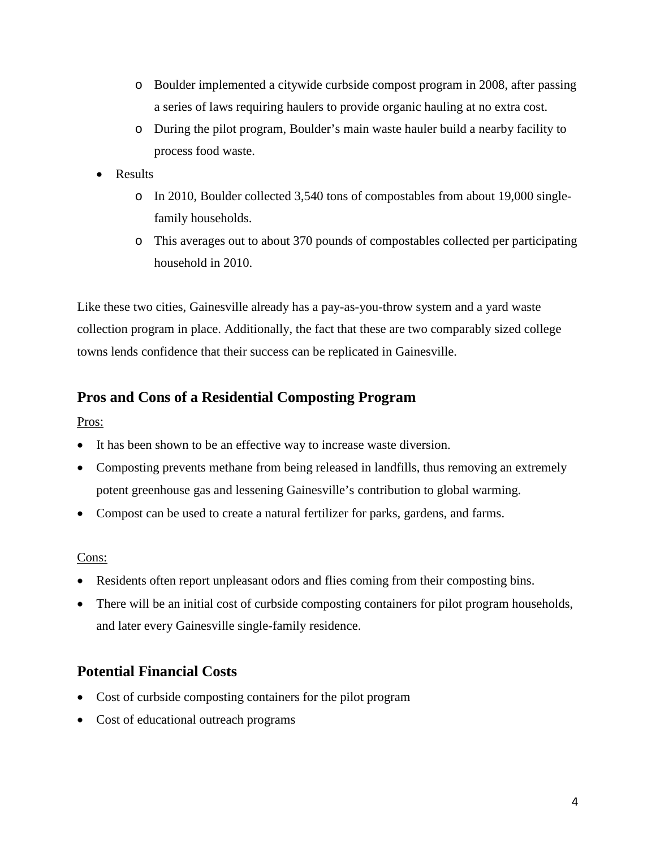- o Boulder implemented a citywide curbside compost program in 2008, after passing a series of laws requiring haulers to provide organic hauling at no extra cost.
- o During the pilot program, Boulder's main waste hauler build a nearby facility to process food waste.
- Results
	- o In 2010, Boulder collected 3,540 tons of compostables from about 19,000 singlefamily households.
	- o This averages out to about 370 pounds of compostables collected per participating household in 2010.

Like these two cities, Gainesville already has a pay-as-you-throw system and a yard waste collection program in place. Additionally, the fact that these are two comparably sized college towns lends confidence that their success can be replicated in Gainesville.

#### **Pros and Cons of a Residential Composting Program**

Pros:

- It has been shown to be an effective way to increase waste diversion.
- Composting prevents methane from being released in landfills, thus removing an extremely potent greenhouse gas and lessening Gainesville's contribution to global warming.
- Compost can be used to create a natural fertilizer for parks, gardens, and farms.

#### Cons:

- Residents often report unpleasant odors and flies coming from their composting bins.
- There will be an initial cost of curbside composting containers for pilot program households, and later every Gainesville single-family residence.

### **Potential Financial Costs**

- Cost of curbside composting containers for the pilot program
- Cost of educational outreach programs